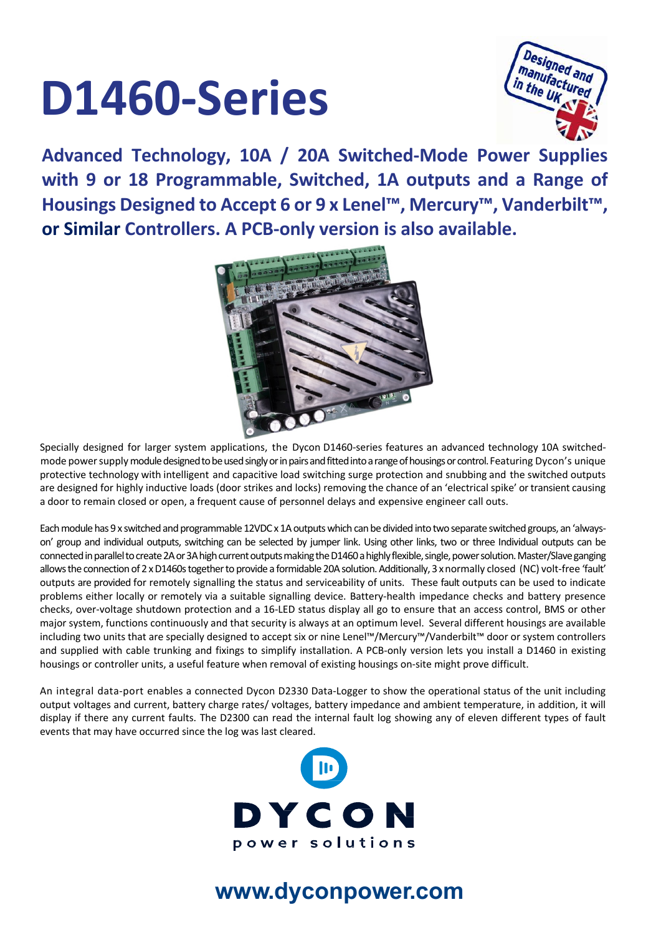# **D1460-Series**



**Advanced Technology, 10A / 20A Switched-Mode Power Supplies with 9 or 18 Programmable, Switched, 1A outputs and a Range of**  Housings Designed to Accept 6 or 9 x Lenel™, Mercury™, Vanderbilt™, **or Similar Controllers. A PCB-only version is also available.**



Specially designed for larger system applications, the Dycon D1460-series features an advanced technology 10A switchedmode power supply module designed to be used singly or in pairs and fitted into a range of housings or control. Featuring Dycon's unique protective technology with intelligent and capacitive load switching surge protection and snubbing and the switched outputs are designed for highly inductive loads (door strikes and locks) removing the chance of an 'electrical spike' or transient causing a door to remain closed or open, a frequent cause of personnel delays and expensive engineer call outs.

Each module has 9 x switched and programmable 12VDC x 1A outputs which can be divided into two separate switched groups, an 'alwayson' group and individual outputs, switching can be selected by jumper link. Using other links, two or three Individual outputs can be connected in parallel to create2A or 3A high current outputsmaking the D1460 a highly flexible, single, power solution. Master/Slave ganging allows the connection of 2 x D1460s together to provide a formidable 20A solution. Additionally, 3 x normally closed (NC) volt-free 'fault' outputs are provided for remotely signalling the status and serviceability of units. These fault outputs can be used to indicate problems either locally or remotely via a suitable signalling device. Battery-health impedance checks and battery presence checks, over-voltage shutdown protection and a 16-LED status display all go to ensure that an access control, BMS or other major system, functions continuously and that security is always at an optimum level. Several different housings are available including two units that are specially designed to accept six or nine Lenel™/Mercury™/Vanderbilt™ door or system controllers and supplied with cable trunking and fixings to simplify installation. A PCB-only version lets you install a D1460 in existing housings or controller units, a useful feature when removal of existing housings on-site might prove difficult.

An integral data-port enables a connected Dycon D2330 Data-Logger to show the operational status of the unit including output voltages and current, battery charge rates/ voltages, battery impedance and ambient temperature, in addition, it will display if there any current faults. The D2300 can read the internal fault log showing any of eleven different types of fault events that may have occurred since the log was last cleared.



### **www.dyconpower.com**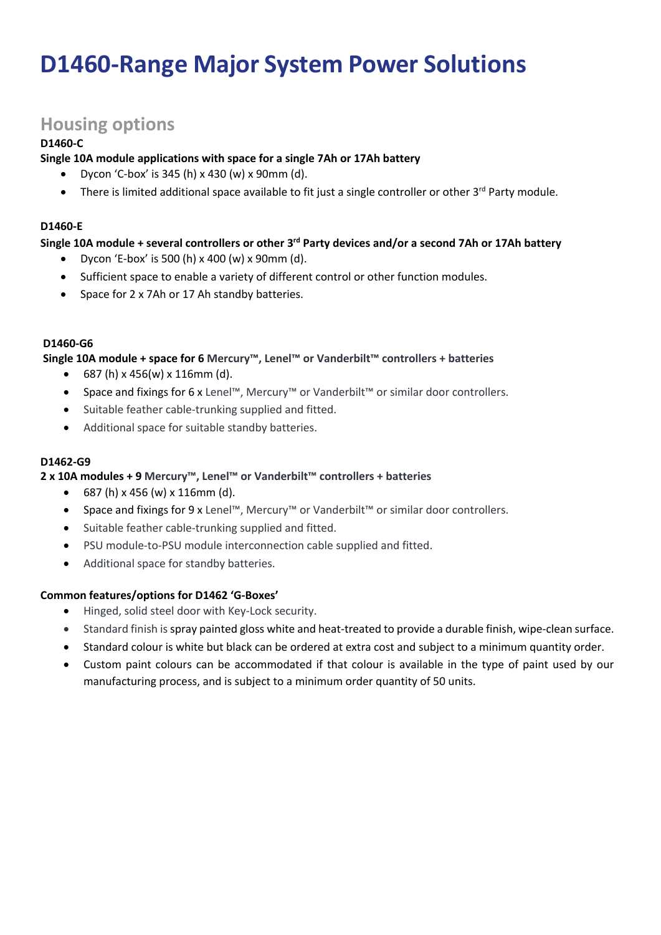## **D1460-Range Major System Power Solutions**

#### **Housing options**

#### **D1460-C**

#### **Single 10A module applications with space for a single 7Ah or 17Ah battery**

- Dycon 'C-box' is 345 (h) x 430 (w) x 90mm (d).
- There is limited additional space available to fit just a single controller or other 3<sup>rd</sup> Party module.

#### **D1460-E**

#### **Single 10A module + several controllers or other 3rd Party devices and/or a second 7Ah or 17Ah battery**

- Dycon 'E-box' is 500 (h)  $x$  400 (w)  $x$  90mm (d).
- Sufficient space to enable a variety of different control or other function modules.
- Space for 2 x 7Ah or 17 Ah standby batteries.

#### **D1460-G6**

#### **Single 10A module + space for 6 Mercury™, Lenel™ or Vanderbilt™ controllers + batteries**

- $687(h) \times 456(w) \times 116mm$  (d).
- Space and fixings for 6 x Lenel™, Mercury™ or Vanderbilt™ or similar door controllers.
- Suitable feather cable-trunking supplied and fitted.
- Additional space for suitable standby batteries.

#### **D1462-G9**

#### **2 x 10A modules + 9 Mercury™, Lenel™ or Vanderbilt™ controllers + batteries**

- $687(h) \times 456 (w) \times 116 \text{mm}$  (d).
- Space and fixings for 9 x Lenel™, Mercury™ or Vanderbilt™ or similar door controllers.
- Suitable feather cable-trunking supplied and fitted.
- PSU module-to-PSU module interconnection cable supplied and fitted.
- Additional space for standby batteries.

#### **Common features/options for D1462 'G-Boxes'**

- Hinged, solid steel door with Key-Lock security.
- Standard finish is spray painted gloss white and heat-treated to provide a durable finish, wipe-clean surface.
- Standard colour is white but black can be ordered at extra cost and subject to a minimum quantity order.
- Custom paint colours can be accommodated if that colour is available in the type of paint used by our manufacturing process, and is subject to a minimum order quantity of 50 units.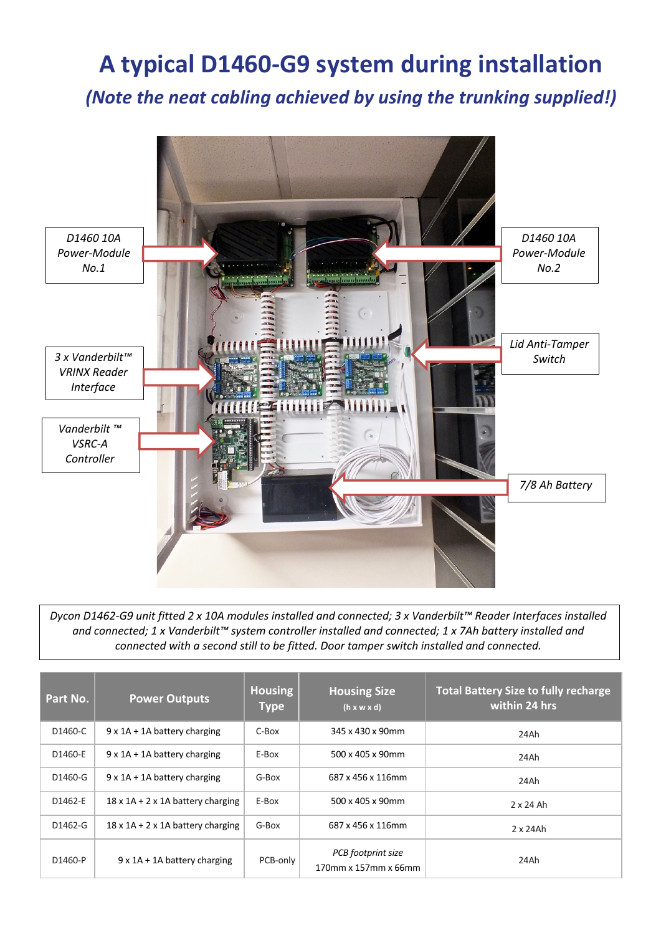# **A typical D1460-G9 system during installation**

*(Note the neat cabling achieved by using the trunking supplied!)*



*Dycon D1462-G9 unit fitted 2 x 10A modules installed and connected; 3 x Vanderbilt™ Reader Interfaces installed and connected; 1 x Vanderbilt™ system controller installed and connected; 1 x 7Ah battery installed and connected with a second still to be fitted. Door tamper switch installed and connected.*

| Part No. | <b>Power Outputs</b>                      | <b>Housing</b><br><b>Type</b> | <b>Housing Size</b><br>$(h \times w \times d)$ | <b>Total Battery Size to fully recharge</b><br>within 24 hrs |
|----------|-------------------------------------------|-------------------------------|------------------------------------------------|--------------------------------------------------------------|
| D1460-C  | $9 \times 1$ A + 1A battery charging      | C-Box                         | 345 x 430 x 90mm                               | 24Ah                                                         |
| D1460-E  | $9 \times 1$ A + 1A battery charging      | E-Box                         | 500 x 405 x 90mm                               | 24Ah                                                         |
| D1460-G  | $9 \times 1$ A + 1A battery charging      | G-Box                         | 687 x 456 x 116mm                              | 24Ah                                                         |
| D1462-E  | $18 \times 1$ A + 2 x 1A battery charging | E-Box                         | 500 x 405 x 90mm                               | $2 \times 24$ Ah                                             |
| D1462-G  | $18 \times 1$ A + 2 x 1A battery charging | G-Box                         | 687 x 456 x 116mm                              | $2 \times 24$ Ah                                             |
| D1460-P  | $9 \times 1$ A + 1A battery charging      | PCB-only                      | PCB footprint size<br>170mm x 157mm x 66mm     | 24Ah                                                         |